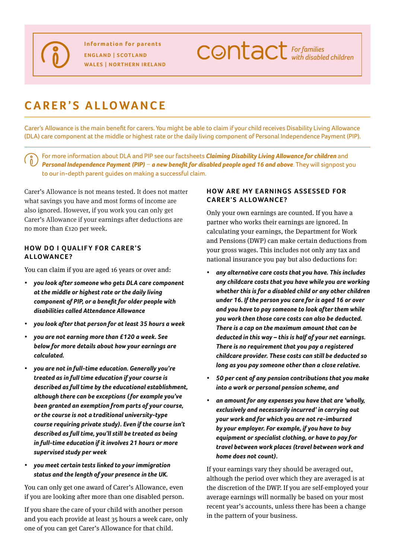**CONTACT** For families

# **Carer's allowance**

Carer's Allowance is the main benefit for carers. You might be able to claim if your child receives Disability Living Allowance (DLA) care component at the middle or highest rate or the daily living component of Personal Independence Payment (PIP).

For more information about DLA and PIP see our factsheets *[Claiming Disability Living Allowance for children](http://www.cafamily.org.uk/advice-and-support/resource-library/factsheet-claiming-disability-living-allowance-for-children/)* and *Personal Independence Payment (PIP) - [a new benefit for disabled people aged 16 and above](http://www.cafamily.org.uk/advice-and-support/resource-library/factsheet-personal-independence-payment-(pip)-%E2%80%93-a-new-benefit-for-disabled-people-aged-16-and-above/). They will signpost you* to our in-depth parent guides on making a successful claim.

Carer's Allowance is not means tested. It does not matter what savings you have and most forms of income are also ignored. However, if you work you can only get Carer's Allowance if your earnings after deductions are no more than £120 per week.

#### **HOW DO I QUALIFY FOR CARER'S Allowance ?**

You can claim if you are aged 16 years or over and:

- *• you look after someone who gets DLA care component at the middle or highest rate or the daily living component of PIP, or a benefit for older people with disabilities called Attendance Allowance*
- *• you look after that person for at least 35 hours a week*
- *• you are not earning more than £120 a week. See below for more details about how your earnings are calculated.*
- *• you are not in full-time education. Generally you're treated as in full time education if your course is described as full time by the educational establishment, although there can be exceptions ( for example you've been granted an exemption from parts of your course, or the course is not a traditional university-type course requiring private study). Even if the course isn't described as full time, you'll still be treated as being in full-time education if it involves 21 hours or more supervised study per week*
- *• you meet certain tests linked to your immigration status and the length of your presence in the UK.*

You can only get one award of Carer's Allowance, even if you are looking after more than one disabled person.

If you share the care of your child with another person and you each provide at least 35 hours a week care, only one of you can get Carer's Allowance for that child.

## **HOW ARE MY EARNINGS ASSESSED FOR Carer's Allowance ?**

Only your own earnings are counted. If you have a partner who works their earnings are ignored. In calculating your earnings, the Department for Work and Pensions (DWP) can make certain deductions from your gross wages. This includes not only any tax and national insurance you pay but also deductions for:

- *• any alternative care costs that you have. This includes any childcare costs that you have while you are working whether this is for a disabled child or any other children under 16. If the person you care for is aged 16 or over and you have to pay someone to look after them while you work then those care costs can also be deducted. There is a cap on the maximum amount that can be deducted in this way – this is half of your net earnings. There is no requirement that you pay a registered childcare provider. These costs can still be deducted so long as you pay someone other than a close relative.*
- *• 50 per cent of any pension contributions that you make into a work or personal pension scheme, and*
- *• an amount for any expenses you have that are 'wholly, exclusively and necessarily incurred' in carrying out your work and for which you are not re-imbursed by your employer. For example, if you have to buy equipment or specialist clothing, or have to pay for travel between work places (travel between work and home does not count).*

If your earnings vary they should be averaged out, although the period over which they are averaged is at the discretion of the DWP. If you are self-employed your average earnings will normally be based on your most recent year's accounts, unless there has been a change in the pattern of your business.